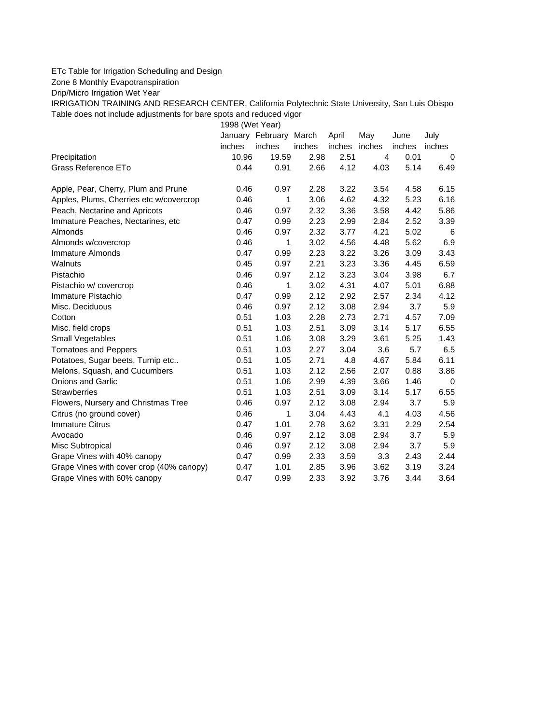## ETc Table for Irrigation Scheduling and Design

Zone 8 Monthly Evapotranspiration

Drip/Micro Irrigation Wet Year

IRRIGATION TRAINING AND RESEARCH CENTER, California Polytechnic State University, San Luis Obispo Table does not include adjustments for bare spots and reduced vigor

1998 (Wet Year)

|                                          |        | January February | March  | April  | May            | June   | July        |
|------------------------------------------|--------|------------------|--------|--------|----------------|--------|-------------|
|                                          | inches | inches           | inches | inches | inches         | inches | inches      |
| Precipitation                            | 10.96  | 19.59            | 2.98   | 2.51   | $\overline{4}$ | 0.01   | 0           |
| Grass Reference ETo                      | 0.44   | 0.91             | 2.66   | 4.12   | 4.03           | 5.14   | 6.49        |
| Apple, Pear, Cherry, Plum and Prune      | 0.46   | 0.97             | 2.28   | 3.22   | 3.54           | 4.58   | 6.15        |
| Apples, Plums, Cherries etc w/covercrop  | 0.46   | 1                | 3.06   | 4.62   | 4.32           | 5.23   | 6.16        |
| Peach, Nectarine and Apricots            | 0.46   | 0.97             | 2.32   | 3.36   | 3.58           | 4.42   | 5.86        |
| Immature Peaches, Nectarines, etc        | 0.47   | 0.99             | 2.23   | 2.99   | 2.84           | 2.52   | 3.39        |
| Almonds                                  | 0.46   | 0.97             | 2.32   | 3.77   | 4.21           | 5.02   | 6           |
| Almonds w/covercrop                      | 0.46   | 1                | 3.02   | 4.56   | 4.48           | 5.62   | 6.9         |
| Immature Almonds                         | 0.47   | 0.99             | 2.23   | 3.22   | 3.26           | 3.09   | 3.43        |
| Walnuts                                  | 0.45   | 0.97             | 2.21   | 3.23   | 3.36           | 4.45   | 6.59        |
| Pistachio                                | 0.46   | 0.97             | 2.12   | 3.23   | 3.04           | 3.98   | 6.7         |
| Pistachio w/ covercrop                   | 0.46   | 1                | 3.02   | 4.31   | 4.07           | 5.01   | 6.88        |
| Immature Pistachio                       | 0.47   | 0.99             | 2.12   | 2.92   | 2.57           | 2.34   | 4.12        |
| Misc. Deciduous                          | 0.46   | 0.97             | 2.12   | 3.08   | 2.94           | 3.7    | 5.9         |
| Cotton                                   | 0.51   | 1.03             | 2.28   | 2.73   | 2.71           | 4.57   | 7.09        |
| Misc. field crops                        | 0.51   | 1.03             | 2.51   | 3.09   | 3.14           | 5.17   | 6.55        |
| <b>Small Vegetables</b>                  | 0.51   | 1.06             | 3.08   | 3.29   | 3.61           | 5.25   | 1.43        |
| <b>Tomatoes and Peppers</b>              | 0.51   | 1.03             | 2.27   | 3.04   | 3.6            | 5.7    | 6.5         |
| Potatoes, Sugar beets, Turnip etc        | 0.51   | 1.05             | 2.71   | 4.8    | 4.67           | 5.84   | 6.11        |
| Melons, Squash, and Cucumbers            | 0.51   | 1.03             | 2.12   | 2.56   | 2.07           | 0.88   | 3.86        |
| <b>Onions and Garlic</b>                 | 0.51   | 1.06             | 2.99   | 4.39   | 3.66           | 1.46   | $\mathbf 0$ |
| <b>Strawberries</b>                      | 0.51   | 1.03             | 2.51   | 3.09   | 3.14           | 5.17   | 6.55        |
| Flowers, Nursery and Christmas Tree      | 0.46   | 0.97             | 2.12   | 3.08   | 2.94           | 3.7    | 5.9         |
| Citrus (no ground cover)                 | 0.46   | 1                | 3.04   | 4.43   | 4.1            | 4.03   | 4.56        |
| <b>Immature Citrus</b>                   | 0.47   | 1.01             | 2.78   | 3.62   | 3.31           | 2.29   | 2.54        |
| Avocado                                  | 0.46   | 0.97             | 2.12   | 3.08   | 2.94           | 3.7    | 5.9         |
| Misc Subtropical                         | 0.46   | 0.97             | 2.12   | 3.08   | 2.94           | 3.7    | 5.9         |
| Grape Vines with 40% canopy              | 0.47   | 0.99             | 2.33   | 3.59   | 3.3            | 2.43   | 2.44        |
| Grape Vines with cover crop (40% canopy) | 0.47   | 1.01             | 2.85   | 3.96   | 3.62           | 3.19   | 3.24        |
| Grape Vines with 60% canopy              | 0.47   | 0.99             | 2.33   | 3.92   | 3.76           | 3.44   | 3.64        |